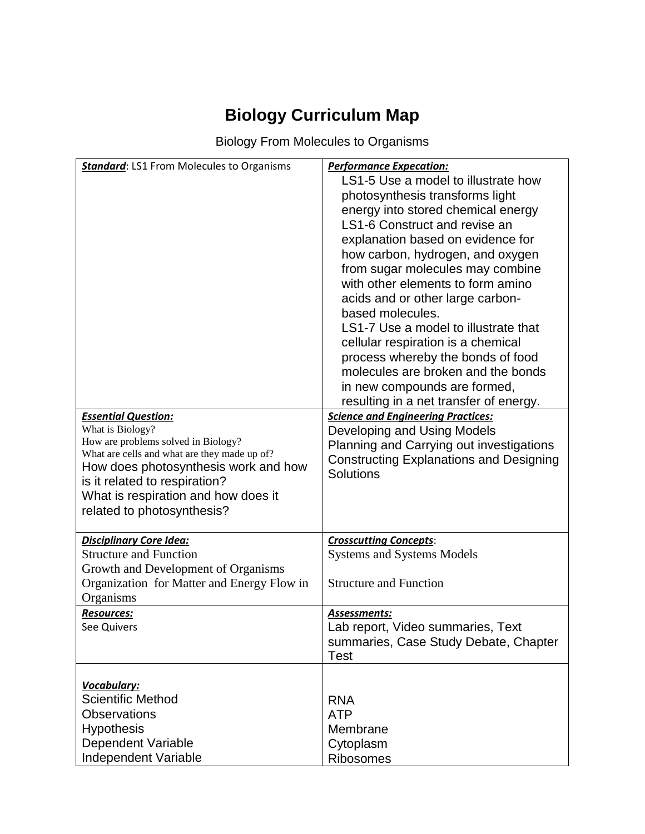# **Biology Curriculum Map**

Biology From Molecules to Organisms

| <b>Standard: LS1 From Molecules to Organisms</b>                                                                                                                                                                                                                                    | <b>Performance Expecation:</b><br>LS1-5 Use a model to illustrate how<br>photosynthesis transforms light<br>energy into stored chemical energy<br>LS1-6 Construct and revise an<br>explanation based on evidence for<br>how carbon, hydrogen, and oxygen<br>from sugar molecules may combine<br>with other elements to form amino<br>acids and or other large carbon-<br>based molecules.<br>LS1-7 Use a model to illustrate that<br>cellular respiration is a chemical<br>process whereby the bonds of food<br>molecules are broken and the bonds<br>in new compounds are formed, |
|-------------------------------------------------------------------------------------------------------------------------------------------------------------------------------------------------------------------------------------------------------------------------------------|------------------------------------------------------------------------------------------------------------------------------------------------------------------------------------------------------------------------------------------------------------------------------------------------------------------------------------------------------------------------------------------------------------------------------------------------------------------------------------------------------------------------------------------------------------------------------------|
| <b>Essential Question:</b><br>What is Biology?<br>How are problems solved in Biology?<br>What are cells and what are they made up of?<br>How does photosynthesis work and how<br>is it related to respiration?<br>What is respiration and how does it<br>related to photosynthesis? | resulting in a net transfer of energy.<br><b>Science and Engineering Practices:</b><br>Developing and Using Models<br>Planning and Carrying out investigations<br><b>Constructing Explanations and Designing</b><br>Solutions                                                                                                                                                                                                                                                                                                                                                      |
| <b>Disciplinary Core Idea:</b><br><b>Structure and Function</b><br>Growth and Development of Organisms<br>Organization for Matter and Energy Flow in<br>Organisms                                                                                                                   | <b>Crosscutting Concepts:</b><br><b>Systems and Systems Models</b><br><b>Structure and Function</b>                                                                                                                                                                                                                                                                                                                                                                                                                                                                                |
| <b>Resources:</b><br>See Quivers                                                                                                                                                                                                                                                    | Assessments:<br>Lab report, Video summaries, Text<br>summaries, Case Study Debate, Chapter<br><b>Test</b>                                                                                                                                                                                                                                                                                                                                                                                                                                                                          |
| Vocabulary:<br><b>Scientific Method</b><br><b>Observations</b><br><b>Hypothesis</b><br><b>Dependent Variable</b><br>Independent Variable                                                                                                                                            | <b>RNA</b><br><b>ATP</b><br>Membrane<br>Cytoplasm<br>Ribosomes                                                                                                                                                                                                                                                                                                                                                                                                                                                                                                                     |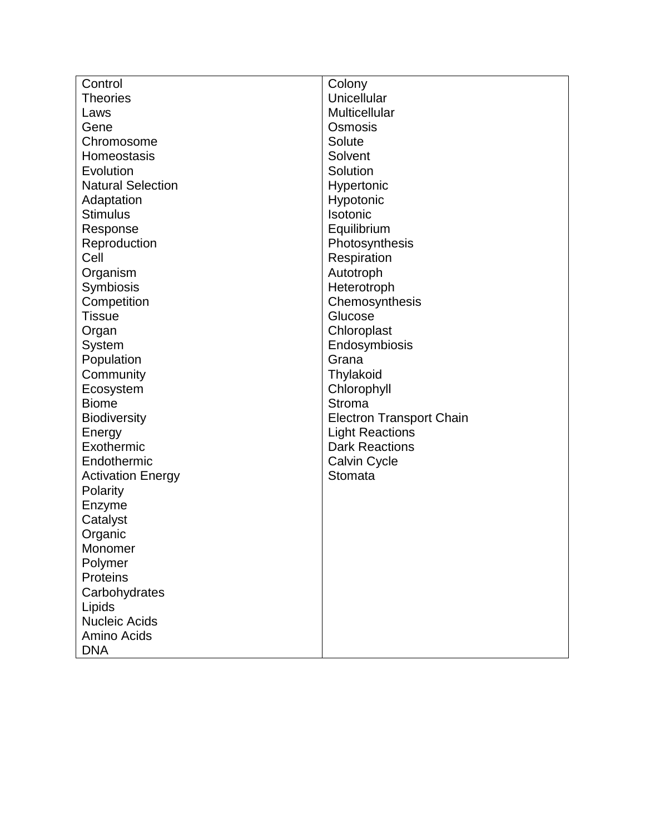| Control                  | Colony                          |
|--------------------------|---------------------------------|
| <b>Theories</b>          | Unicellular                     |
| Laws                     | Multicellular                   |
| Gene                     | Osmosis                         |
| Chromosome               | Solute                          |
| Homeostasis              | Solvent                         |
| Evolution                | Solution                        |
| <b>Natural Selection</b> | Hypertonic                      |
| Adaptation               | Hypotonic                       |
| <b>Stimulus</b>          | Isotonic                        |
| Response                 | Equilibrium                     |
| Reproduction             | Photosynthesis                  |
| Cell                     | Respiration                     |
| Organism                 | Autotroph                       |
| Symbiosis                | Heterotroph                     |
| Competition              | Chemosynthesis                  |
| <b>Tissue</b>            | Glucose                         |
| Organ                    | Chloroplast                     |
| System                   | Endosymbiosis                   |
| Population               | Grana                           |
| Community                | Thylakoid                       |
| Ecosystem                | Chlorophyll                     |
| <b>Biome</b>             | <b>Stroma</b>                   |
| <b>Biodiversity</b>      | <b>Electron Transport Chain</b> |
| Energy                   | <b>Light Reactions</b>          |
| Exothermic               | <b>Dark Reactions</b>           |
| Endothermic              | <b>Calvin Cycle</b>             |
| <b>Activation Energy</b> | Stomata                         |
| Polarity                 |                                 |
| Enzyme                   |                                 |
| Catalyst                 |                                 |
| Organic                  |                                 |
| Monomer                  |                                 |
| Polymer                  |                                 |
| <b>Proteins</b>          |                                 |
| Carbohydrates            |                                 |
| Lipids                   |                                 |
| <b>Nucleic Acids</b>     |                                 |
| Amino Acids              |                                 |
| <b>DNA</b>               |                                 |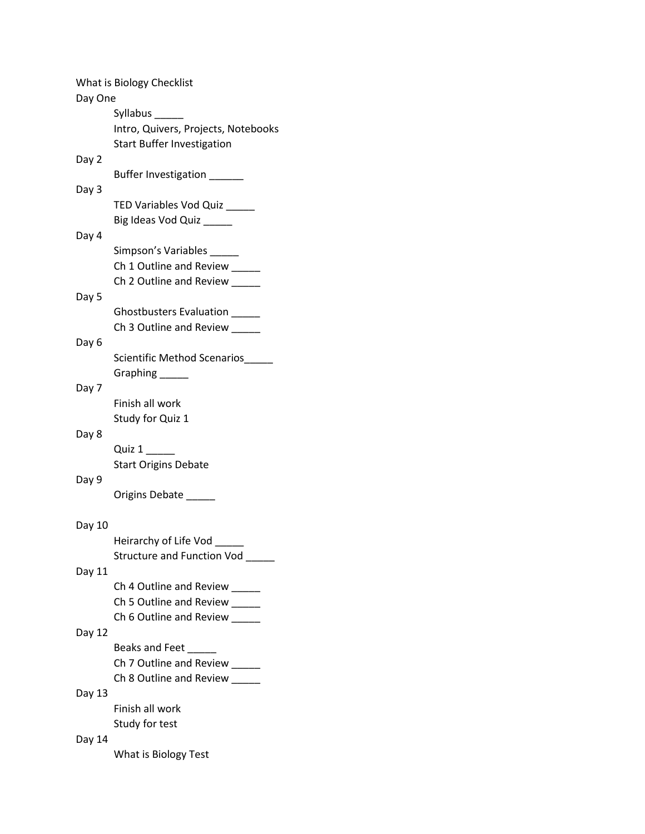|         | What is Biology Checklist           |
|---------|-------------------------------------|
| Day One |                                     |
|         | Syllabus                            |
|         | Intro, Quivers, Projects, Notebooks |
|         | <b>Start Buffer Investigation</b>   |
| Day 2   | Buffer Investigation _____          |
| Day 3   |                                     |
|         | TED Variables Vod Quiz              |
|         | Big Ideas Vod Quiz _____            |
| Day 4   |                                     |
|         | Simpson's Variables                 |
|         | Ch 1 Outline and Review ____        |
|         | Ch 2 Outline and Review _____       |
| Day 5   |                                     |
|         | Ghostbusters Evaluation             |
|         | Ch 3 Outline and Review _____       |
| Day 6   |                                     |
|         | Scientific Method Scenarios         |
|         | Graphing ______                     |
| Day 7   |                                     |
|         | Finish all work                     |
|         | Study for Quiz 1                    |
| Day 8   |                                     |
|         | Quiz 1                              |
|         | <b>Start Origins Debate</b>         |
| Day 9   |                                     |
|         | Origins Debate ______               |
| Day 10  |                                     |
|         | Heirarchy of Life Vod ____          |
|         | Structure and Function Vod          |
| Day 11  |                                     |
|         | Ch 4 Outline and Review             |
|         | Ch 5 Outline and Review _____       |
|         | Ch 6 Outline and Review             |
| Day 12  |                                     |
|         | Beaks and Feet                      |
|         | Ch 7 Outline and Review             |
|         | Ch 8 Outline and Review             |
| Day 13  |                                     |
|         | Finish all work                     |
|         | Study for test                      |
| Day 14  |                                     |
|         | What is Biology Test                |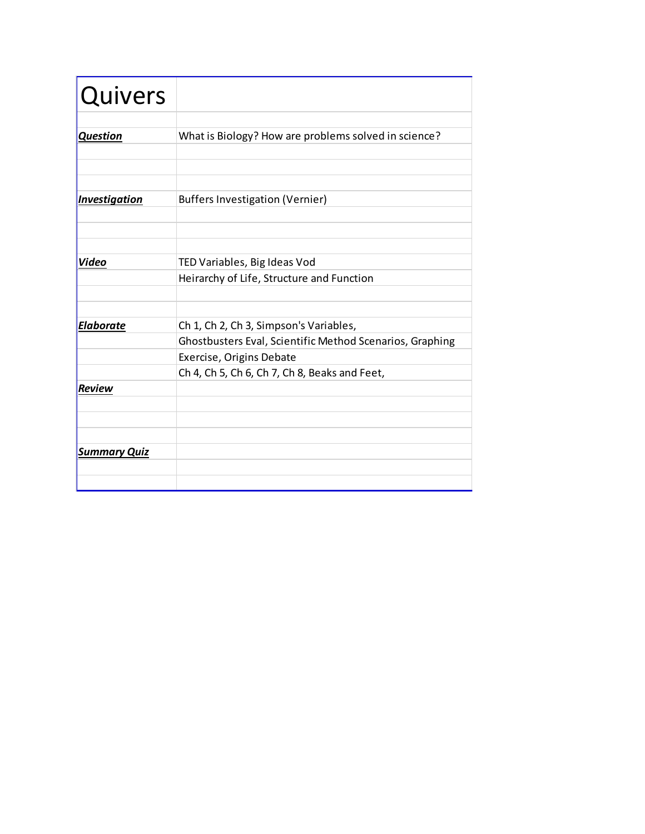| Quivers             |                                                          |
|---------------------|----------------------------------------------------------|
|                     |                                                          |
| <b>Question</b>     | What is Biology? How are problems solved in science?     |
|                     |                                                          |
|                     |                                                          |
|                     |                                                          |
| Investigation       | <b>Buffers Investigation (Vernier)</b>                   |
|                     |                                                          |
|                     |                                                          |
|                     |                                                          |
| Video               | TED Variables, Big Ideas Vod                             |
|                     | Heirarchy of Life, Structure and Function                |
|                     |                                                          |
|                     |                                                          |
| <b>Elaborate</b>    | Ch 1, Ch 2, Ch 3, Simpson's Variables,                   |
|                     | Ghostbusters Eval, Scientific Method Scenarios, Graphing |
|                     | Exercise, Origins Debate                                 |
|                     | Ch 4, Ch 5, Ch 6, Ch 7, Ch 8, Beaks and Feet,            |
| <b>Review</b>       |                                                          |
|                     |                                                          |
|                     |                                                          |
|                     |                                                          |
| <b>Summary Quiz</b> |                                                          |
|                     |                                                          |
|                     |                                                          |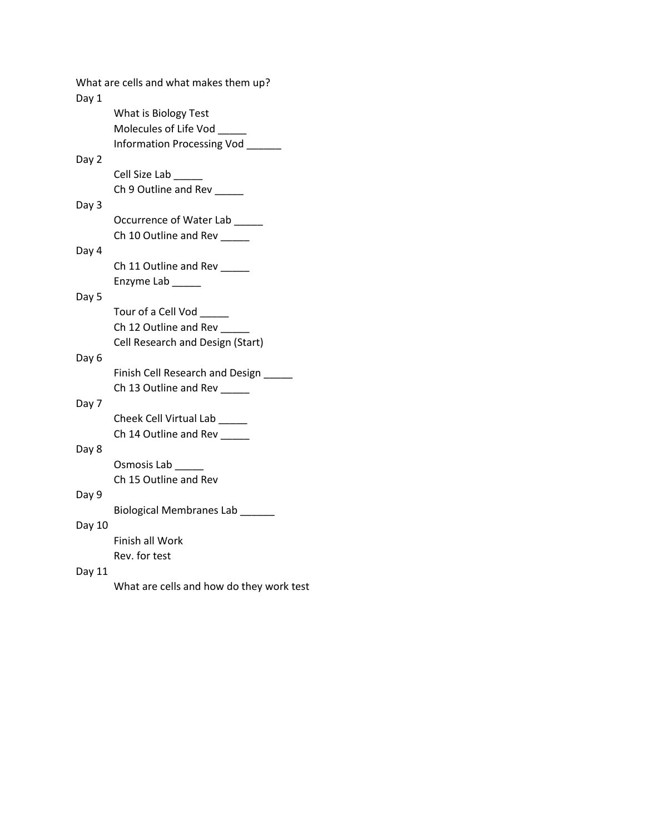| Day 1  | What are cells and what makes them up?   |
|--------|------------------------------------------|
|        | What is Biology Test                     |
|        | Molecules of Life Vod _____              |
|        | Information Processing Vod __            |
| Day 2  |                                          |
|        | Cell Size Lab                            |
|        | Ch 9 Outline and Rev                     |
| Day 3  |                                          |
|        | Occurrence of Water Lab                  |
|        | Ch 10 Outline and Rev                    |
| Day 4  |                                          |
|        | Ch 11 Outline and Rev                    |
|        | Enzyme Lab                               |
| Day 5  |                                          |
|        | Tour of a Cell Vod                       |
|        | Ch 12 Outline and Rev                    |
|        | Cell Research and Design (Start)         |
| Day 6  |                                          |
|        | Finish Cell Research and Design          |
|        | Ch 13 Outline and Rev ____               |
| Day 7  |                                          |
|        | Cheek Cell Virtual Lab                   |
|        | Ch 14 Outline and Rev                    |
| Day 8  |                                          |
|        | Osmosis Lab                              |
|        | Ch 15 Outline and Rev                    |
| Day 9  |                                          |
|        | Biological Membranes Lab                 |
| Day 10 |                                          |
|        | Finish all Work                          |
|        | Rev. for test                            |
| Day 11 |                                          |
|        | What are cells and how do they work test |
|        |                                          |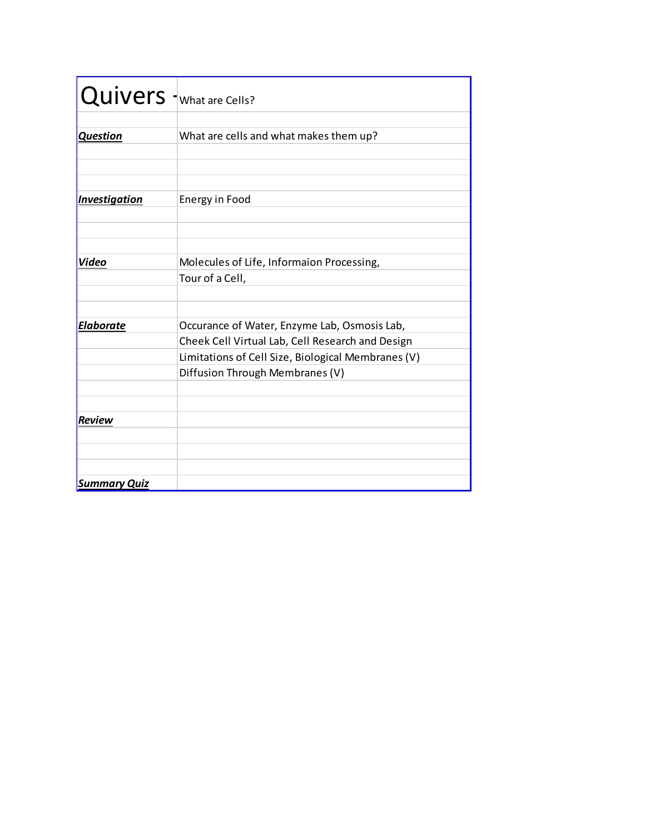| Quivers I What are Cells? |                                                    |
|---------------------------|----------------------------------------------------|
|                           |                                                    |
| <b>Question</b>           | What are cells and what makes them up?             |
|                           |                                                    |
|                           |                                                    |
|                           |                                                    |
| Investigation             | Energy in Food                                     |
|                           |                                                    |
|                           |                                                    |
|                           |                                                    |
| Video                     | Molecules of Life, Informaion Processing,          |
|                           | Tour of a Cell,                                    |
|                           |                                                    |
|                           |                                                    |
| <b>Elaborate</b>          | Occurance of Water, Enzyme Lab, Osmosis Lab,       |
|                           | Cheek Cell Virtual Lab, Cell Research and Design   |
|                           | Limitations of Cell Size, Biological Membranes (V) |
|                           | Diffusion Through Membranes (V)                    |
|                           |                                                    |
|                           |                                                    |
| <b>Review</b>             |                                                    |
|                           |                                                    |
|                           |                                                    |
|                           |                                                    |
| <b>Summary Quiz</b>       |                                                    |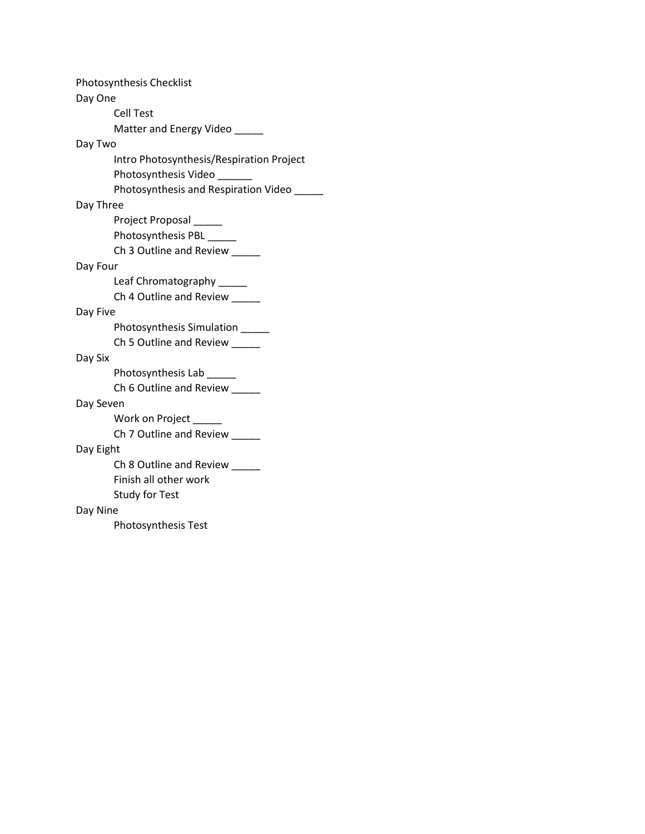| Photosynthesis Checklist                 |  |  |
|------------------------------------------|--|--|
| Day One                                  |  |  |
| Cell Test                                |  |  |
| Matter and Energy Video                  |  |  |
| Day Two                                  |  |  |
| Intro Photosynthesis/Respiration Project |  |  |
| Photosynthesis Video                     |  |  |
| Photosynthesis and Respiration Video     |  |  |
| Day Three                                |  |  |
| Project Proposal                         |  |  |
| Photosynthesis PBL ____                  |  |  |
| Ch 3 Outline and Review                  |  |  |
| Day Four                                 |  |  |
| Leaf Chromatography ____                 |  |  |
| Ch 4 Outline and Review                  |  |  |
| Day Five                                 |  |  |
| Photosynthesis Simulation                |  |  |
| Ch 5 Outline and Review                  |  |  |
| Day Six                                  |  |  |
| Photosynthesis Lab                       |  |  |
| Ch 6 Outline and Review                  |  |  |
| Day Seven                                |  |  |
| Work on Project                          |  |  |
| Ch 7 Outline and Review _____            |  |  |
| Day Eight                                |  |  |
| Ch 8 Outline and Review                  |  |  |
| Finish all other work                    |  |  |
| <b>Study for Test</b>                    |  |  |
| Day Nine                                 |  |  |
| Photosynthesis Test                      |  |  |
|                                          |  |  |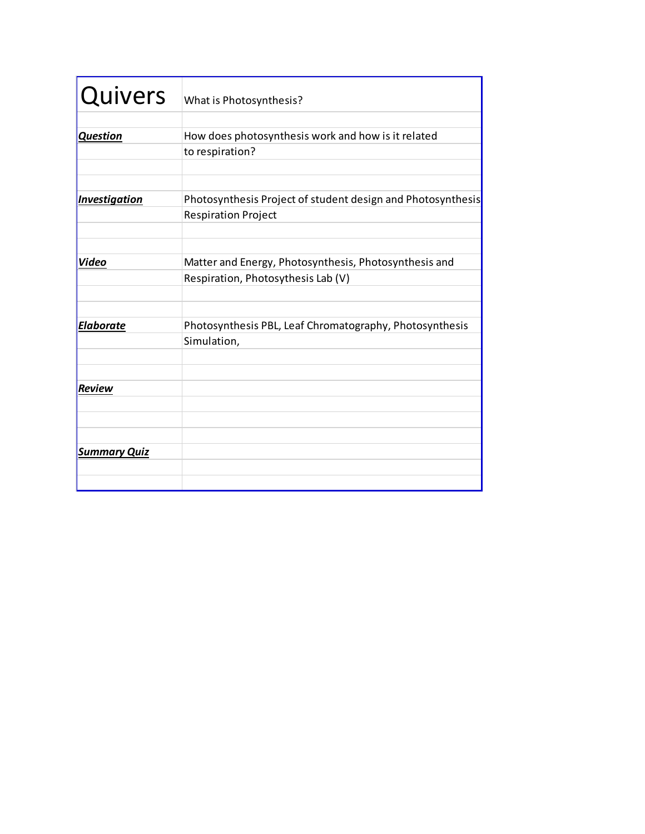| <b>Quivers</b>       | What is Photosynthesis?                                     |
|----------------------|-------------------------------------------------------------|
|                      |                                                             |
| <b>Question</b>      | How does photosynthesis work and how is it related          |
|                      | to respiration?                                             |
|                      |                                                             |
| <b>Investigation</b> | Photosynthesis Project of student design and Photosynthesis |
|                      | <b>Respiration Project</b>                                  |
|                      |                                                             |
| <b>Video</b>         | Matter and Energy, Photosynthesis, Photosynthesis and       |
|                      | Respiration, Photosythesis Lab (V)                          |
|                      |                                                             |
|                      |                                                             |
| Elaborate            | Photosynthesis PBL, Leaf Chromatography, Photosynthesis     |
|                      | Simulation,                                                 |
|                      |                                                             |
| Review               |                                                             |
|                      |                                                             |
|                      |                                                             |
|                      |                                                             |
| <b>Summary Quiz</b>  |                                                             |
|                      |                                                             |
|                      |                                                             |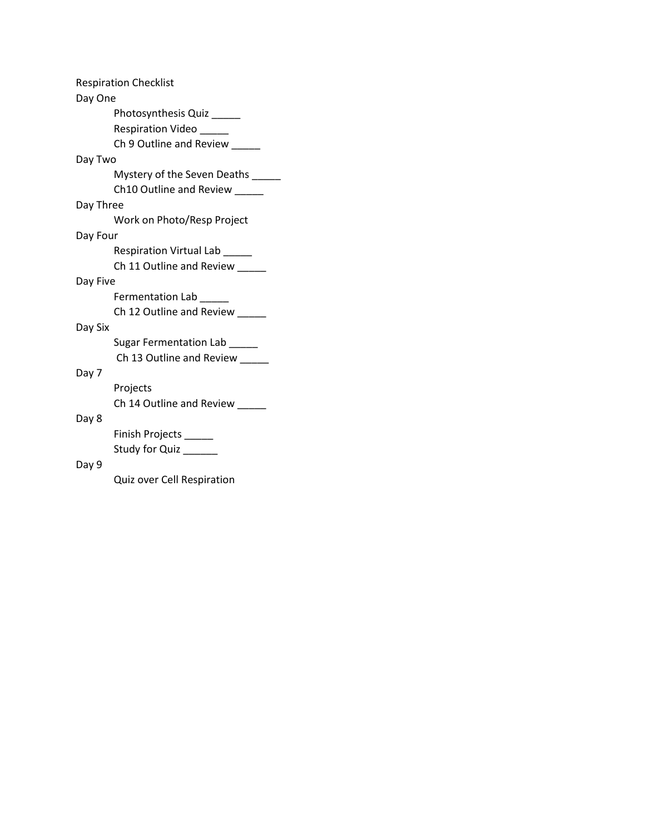| Day One   | <b>Respiration Checklist</b> |
|-----------|------------------------------|
|           |                              |
|           | Photosynthesis Quiz ____     |
|           | Respiration Video ____       |
|           | Ch 9 Outline and Review      |
| Day Two   |                              |
|           | Mystery of the Seven Deaths  |
|           | Ch10 Outline and Review      |
| Day Three |                              |
|           | Work on Photo/Resp Project   |
| Day Four  |                              |
|           | Respiration Virtual Lab      |
|           | Ch 11 Outline and Review     |
| Day Five  |                              |
|           | Fermentation Lab             |
|           | Ch 12 Outline and Review     |
| Day Six   |                              |
|           | Sugar Fermentation Lab       |
|           | Ch 13 Outline and Review     |
| Day 7     |                              |
|           | Projects                     |
|           | Ch 14 Outline and Review     |
| Day 8     |                              |
|           |                              |
|           | Finish Projects              |
|           | Study for Quiz               |
| Day 9     |                              |
|           | Quiz over Cell Respiration   |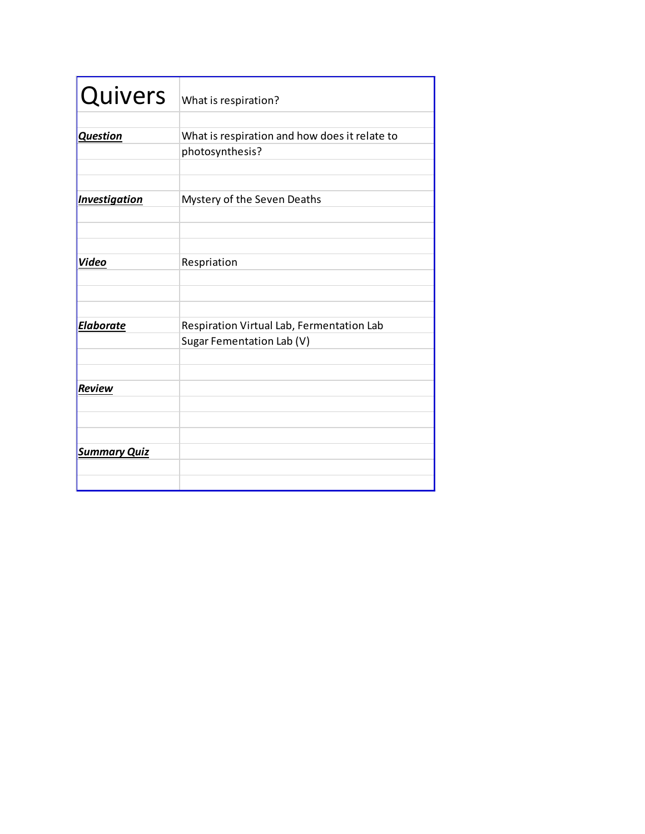| <b>Quivers</b>       | What is respiration?                          |
|----------------------|-----------------------------------------------|
|                      |                                               |
| <b>Question</b>      | What is respiration and how does it relate to |
|                      | photosynthesis?                               |
|                      |                                               |
|                      |                                               |
| <b>Investigation</b> | Mystery of the Seven Deaths                   |
|                      |                                               |
|                      |                                               |
|                      |                                               |
| Video                | Respriation                                   |
|                      |                                               |
|                      |                                               |
|                      |                                               |
| <b>Elaborate</b>     | Respiration Virtual Lab, Fermentation Lab     |
|                      | Sugar Fementation Lab (V)                     |
|                      |                                               |
|                      |                                               |
| <b>Review</b>        |                                               |
|                      |                                               |
|                      |                                               |
|                      |                                               |
| <b>Summary Quiz</b>  |                                               |
|                      |                                               |
|                      |                                               |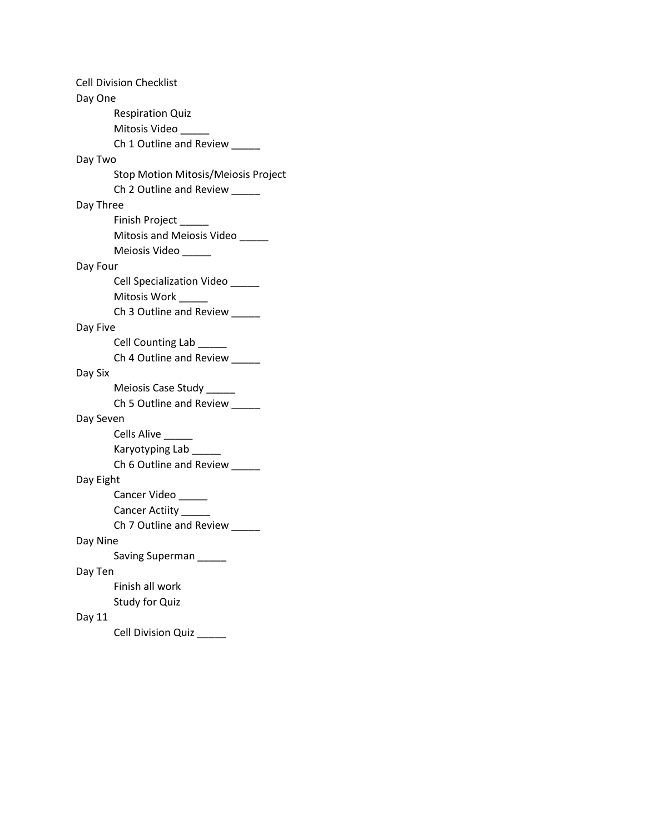Cell Division Checklist Day One Respiration Quiz Mitosis Video \_ Ch 1 Outline and Review \_\_\_\_\_ Day Two Stop Motion Mitosis/Meiosis Project Ch 2 Outline and Review \_\_\_\_\_ Day Three Finish Project \_\_\_\_\_ Mitosis and Meiosis Video \_\_\_\_\_ Meiosis Video Day Four Cell Specialization Video \_\_\_\_\_ Mitosis Work Ch 3 Outline and Review \_\_\_\_\_ Day Five Cell Counting Lab Ch 4 Outline and Review \_\_\_\_\_ Day Six Meiosis Case Study \_\_\_\_\_ Ch 5 Outline and Review \_\_\_\_\_ Day Seven Cells Alive \_\_\_\_\_ Karyotyping Lab \_\_\_\_ Ch 6 Outline and Review \_\_\_\_\_ Day Eight Cancer Video \_\_\_\_\_\_ Cancer Actiity \_\_\_\_\_ Ch 7 Outline and Review \_\_\_\_\_ Day Nine Saving Superman \_\_\_\_\_ Day Ten Finish all work Study for Quiz Day 11 Cell Division Quiz \_\_\_\_\_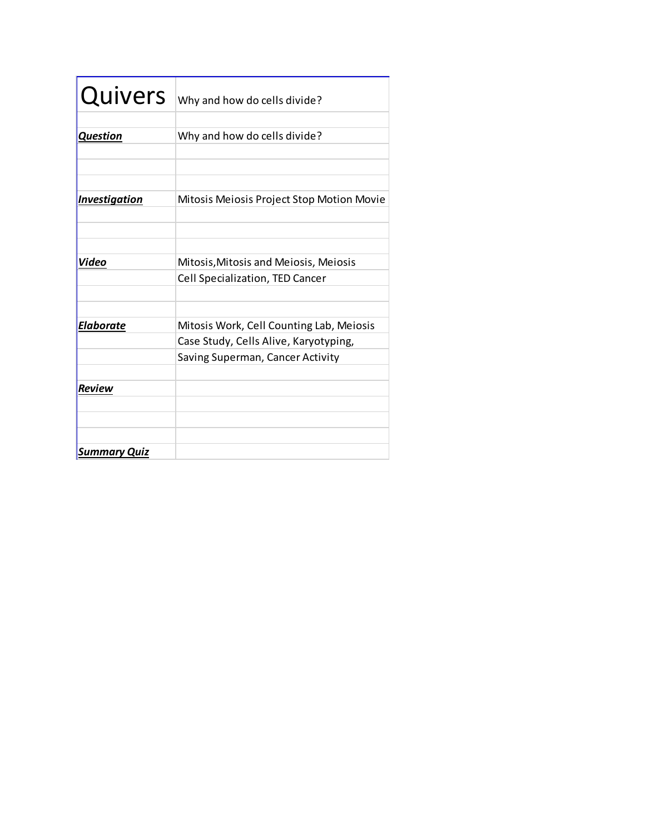| <b>Quivers</b>       | Why and how do cells divide?                                                                                          |
|----------------------|-----------------------------------------------------------------------------------------------------------------------|
| <b>Question</b>      | Why and how do cells divide?                                                                                          |
| <b>Investigation</b> | Mitosis Meiosis Project Stop Motion Movie                                                                             |
| Video                | Mitosis, Mitosis and Meiosis, Meiosis                                                                                 |
|                      | Cell Specialization, TED Cancer                                                                                       |
| <b>Elaborate</b>     | Mitosis Work, Cell Counting Lab, Meiosis<br>Case Study, Cells Alive, Karyotyping,<br>Saving Superman, Cancer Activity |
| <b>Review</b>        |                                                                                                                       |
| <b>Summary Quiz</b>  |                                                                                                                       |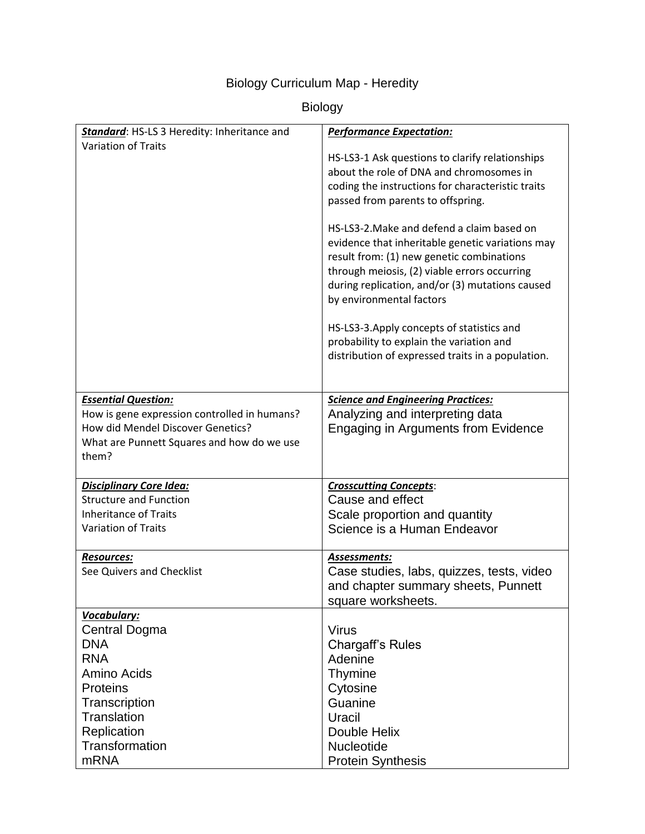# Biology Curriculum Map - Heredity

# Biology

| Standard: HS-LS 3 Heredity: Inheritance and  | <b>Performance Expectation:</b>                                                                                                                                                                                                                                            |
|----------------------------------------------|----------------------------------------------------------------------------------------------------------------------------------------------------------------------------------------------------------------------------------------------------------------------------|
| <b>Variation of Traits</b>                   |                                                                                                                                                                                                                                                                            |
|                                              | HS-LS3-1 Ask questions to clarify relationships                                                                                                                                                                                                                            |
|                                              | about the role of DNA and chromosomes in                                                                                                                                                                                                                                   |
|                                              | coding the instructions for characteristic traits                                                                                                                                                                                                                          |
|                                              | passed from parents to offspring.                                                                                                                                                                                                                                          |
|                                              | HS-LS3-2. Make and defend a claim based on<br>evidence that inheritable genetic variations may<br>result from: (1) new genetic combinations<br>through meiosis, (2) viable errors occurring<br>during replication, and/or (3) mutations caused<br>by environmental factors |
|                                              | HS-LS3-3. Apply concepts of statistics and                                                                                                                                                                                                                                 |
|                                              | probability to explain the variation and                                                                                                                                                                                                                                   |
|                                              | distribution of expressed traits in a population.                                                                                                                                                                                                                          |
|                                              |                                                                                                                                                                                                                                                                            |
| <b>Essential Question:</b>                   | <b>Science and Engineering Practices:</b>                                                                                                                                                                                                                                  |
| How is gene expression controlled in humans? | Analyzing and interpreting data                                                                                                                                                                                                                                            |
| How did Mendel Discover Genetics?            | Engaging in Arguments from Evidence                                                                                                                                                                                                                                        |
| What are Punnett Squares and how do we use   |                                                                                                                                                                                                                                                                            |
| them?                                        |                                                                                                                                                                                                                                                                            |
| <b>Disciplinary Core Idea:</b>               | <b>Crosscutting Concepts:</b>                                                                                                                                                                                                                                              |
| <b>Structure and Function</b>                | Cause and effect                                                                                                                                                                                                                                                           |
| <b>Inheritance of Traits</b>                 | Scale proportion and quantity                                                                                                                                                                                                                                              |
| <b>Variation of Traits</b>                   | Science is a Human Endeavor                                                                                                                                                                                                                                                |
| <b>Resources:</b>                            | Assessments:                                                                                                                                                                                                                                                               |
| See Quivers and Checklist                    | Case studies, labs, quizzes, tests, video                                                                                                                                                                                                                                  |
|                                              | and chapter summary sheets, Punnett                                                                                                                                                                                                                                        |
|                                              | square worksheets.                                                                                                                                                                                                                                                         |
| Vocabulary:<br><b>Central Dogma</b>          | <b>Virus</b>                                                                                                                                                                                                                                                               |
| <b>DNA</b>                                   | <b>Chargaff's Rules</b>                                                                                                                                                                                                                                                    |
| <b>RNA</b>                                   | Adenine                                                                                                                                                                                                                                                                    |
| Amino Acids                                  | <b>Thymine</b>                                                                                                                                                                                                                                                             |
| <b>Proteins</b>                              | Cytosine                                                                                                                                                                                                                                                                   |
| Transcription                                | Guanine                                                                                                                                                                                                                                                                    |
| Translation                                  | Uracil                                                                                                                                                                                                                                                                     |
| Replication                                  | Double Helix                                                                                                                                                                                                                                                               |
| Transformation                               | Nucleotide                                                                                                                                                                                                                                                                 |
| <b>mRNA</b>                                  | <b>Protein Synthesis</b>                                                                                                                                                                                                                                                   |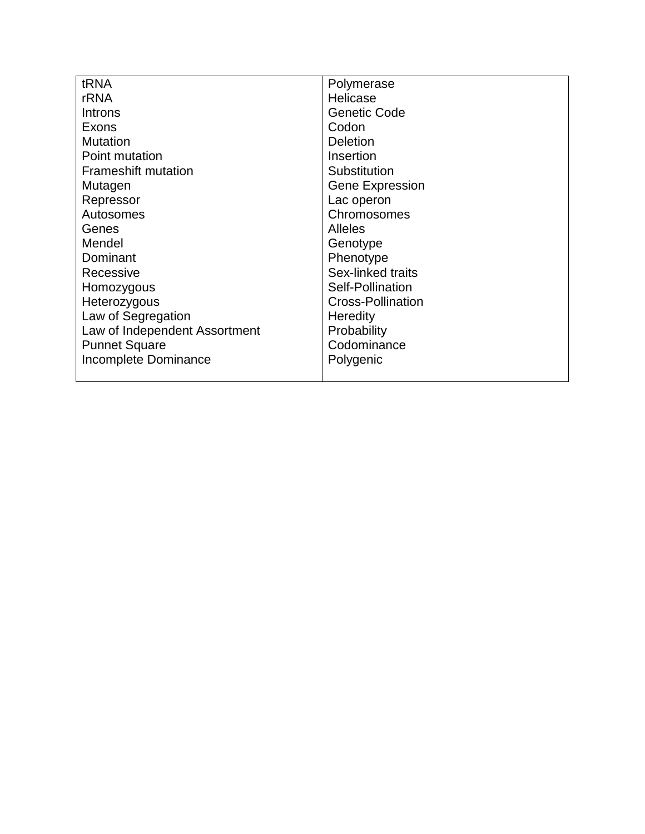| tRNA                          | Polymerase               |
|-------------------------------|--------------------------|
| <b>rRNA</b>                   | Helicase                 |
| <b>Introns</b>                | <b>Genetic Code</b>      |
| Exons                         | Codon                    |
| <b>Mutation</b>               | <b>Deletion</b>          |
| Point mutation                | Insertion                |
| <b>Frameshift mutation</b>    | Substitution             |
| Mutagen                       | <b>Gene Expression</b>   |
| Repressor                     | Lac operon               |
| Autosomes                     | Chromosomes              |
| Genes                         | <b>Alleles</b>           |
| Mendel                        | Genotype                 |
| Dominant                      | Phenotype                |
| Recessive                     | Sex-linked traits        |
| Homozygous                    | Self-Pollination         |
| Heterozygous                  | <b>Cross-Pollination</b> |
| Law of Segregation            | Heredity                 |
| Law of Independent Assortment | Probability              |
| <b>Punnet Square</b>          | Codominance              |
| Incomplete Dominance          | Polygenic                |
|                               |                          |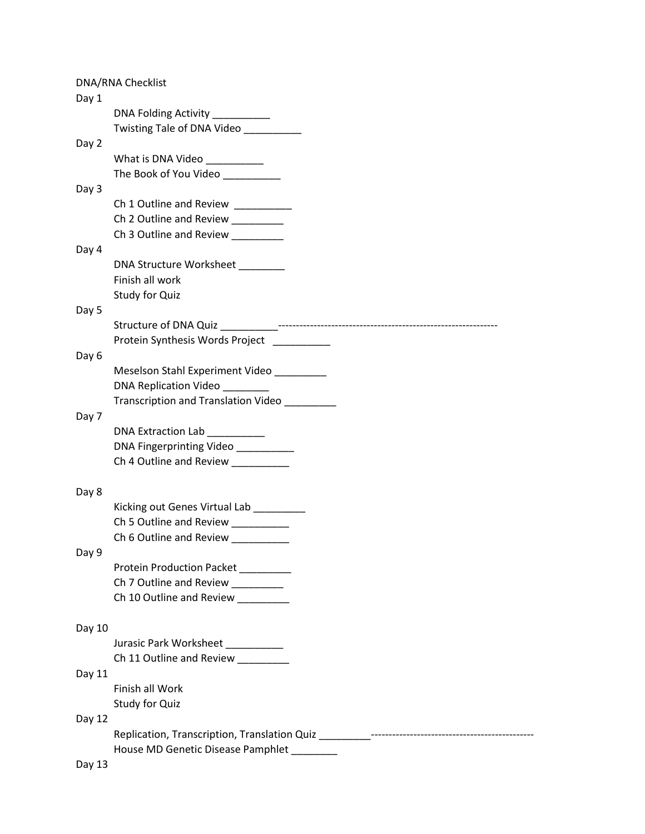|        | DNA/RNA Checklist                                                                                                                                                                                                                                                                                                                                                                                                                                                                  |
|--------|------------------------------------------------------------------------------------------------------------------------------------------------------------------------------------------------------------------------------------------------------------------------------------------------------------------------------------------------------------------------------------------------------------------------------------------------------------------------------------|
| Day 1  |                                                                                                                                                                                                                                                                                                                                                                                                                                                                                    |
|        | DNA Folding Activity _________                                                                                                                                                                                                                                                                                                                                                                                                                                                     |
|        | Twisting Tale of DNA Video _________                                                                                                                                                                                                                                                                                                                                                                                                                                               |
| Day 2  |                                                                                                                                                                                                                                                                                                                                                                                                                                                                                    |
|        | What is DNA Video __________                                                                                                                                                                                                                                                                                                                                                                                                                                                       |
|        | The Book of You Video                                                                                                                                                                                                                                                                                                                                                                                                                                                              |
| Day 3  |                                                                                                                                                                                                                                                                                                                                                                                                                                                                                    |
|        | Ch 1 Outline and Review _________                                                                                                                                                                                                                                                                                                                                                                                                                                                  |
|        | Ch 2 Outline and Review ________                                                                                                                                                                                                                                                                                                                                                                                                                                                   |
|        | Ch 3 Outline and Review _________                                                                                                                                                                                                                                                                                                                                                                                                                                                  |
| Day 4  |                                                                                                                                                                                                                                                                                                                                                                                                                                                                                    |
|        | DNA Structure Worksheet                                                                                                                                                                                                                                                                                                                                                                                                                                                            |
|        | Finish all work                                                                                                                                                                                                                                                                                                                                                                                                                                                                    |
|        | Study for Quiz                                                                                                                                                                                                                                                                                                                                                                                                                                                                     |
| Day 5  |                                                                                                                                                                                                                                                                                                                                                                                                                                                                                    |
|        |                                                                                                                                                                                                                                                                                                                                                                                                                                                                                    |
|        | Protein Synthesis Words Project _________                                                                                                                                                                                                                                                                                                                                                                                                                                          |
| Day 6  |                                                                                                                                                                                                                                                                                                                                                                                                                                                                                    |
|        | Meselson Stahl Experiment Video ________                                                                                                                                                                                                                                                                                                                                                                                                                                           |
|        | DNA Replication Video _______                                                                                                                                                                                                                                                                                                                                                                                                                                                      |
|        | Transcription and Translation Video                                                                                                                                                                                                                                                                                                                                                                                                                                                |
| Day 7  |                                                                                                                                                                                                                                                                                                                                                                                                                                                                                    |
|        | <b>DNA Extraction Lab</b><br>$\begin{tabular}{ccccc} \multicolumn{2}{c }{\textbf{1} & \multicolumn{2}{c }{\textbf{2} & \multicolumn{2}{c }{\textbf{3} & \multicolumn{2}{c }{\textbf{4} & \multicolumn{2}{c }{\textbf{5} & \multicolumn{2}{c }{\textbf{6} & \multicolumn{2}{c }{\textbf{6} & \multicolumn{2}{c }{\textbf{6} & \multicolumn{2}{c }{\textbf{6} & \multicolumn{2}{c }{\textbf{6} & \multicolumn{2}{c }{\textbf{6} & \multicolumn{2}{c }{\textbf{6} & \multicolumn{2}{$ |
|        | DNA Fingerprinting Video _________                                                                                                                                                                                                                                                                                                                                                                                                                                                 |
|        | Ch 4 Outline and Review _________                                                                                                                                                                                                                                                                                                                                                                                                                                                  |
|        |                                                                                                                                                                                                                                                                                                                                                                                                                                                                                    |
| Day 8  |                                                                                                                                                                                                                                                                                                                                                                                                                                                                                    |
|        | Kicking out Genes Virtual Lab _________                                                                                                                                                                                                                                                                                                                                                                                                                                            |
|        | Ch 5 Outline and Review                                                                                                                                                                                                                                                                                                                                                                                                                                                            |
|        | Ch 6 Outline and Review __________                                                                                                                                                                                                                                                                                                                                                                                                                                                 |
| Day 9  |                                                                                                                                                                                                                                                                                                                                                                                                                                                                                    |
|        | Protein Production Packet _________<br>Ch 7 Outline and Review ________                                                                                                                                                                                                                                                                                                                                                                                                            |
|        | Ch 10 Outline and Review                                                                                                                                                                                                                                                                                                                                                                                                                                                           |
|        |                                                                                                                                                                                                                                                                                                                                                                                                                                                                                    |
| Day 10 |                                                                                                                                                                                                                                                                                                                                                                                                                                                                                    |
|        | Jurasic Park Worksheet                                                                                                                                                                                                                                                                                                                                                                                                                                                             |
|        | Ch 11 Outline and Review ________                                                                                                                                                                                                                                                                                                                                                                                                                                                  |
| Day 11 |                                                                                                                                                                                                                                                                                                                                                                                                                                                                                    |
|        | Finish all Work                                                                                                                                                                                                                                                                                                                                                                                                                                                                    |
|        | Study for Quiz                                                                                                                                                                                                                                                                                                                                                                                                                                                                     |
| Day 12 |                                                                                                                                                                                                                                                                                                                                                                                                                                                                                    |
|        |                                                                                                                                                                                                                                                                                                                                                                                                                                                                                    |
|        | House MD Genetic Disease Pamphlet ________                                                                                                                                                                                                                                                                                                                                                                                                                                         |
| Day 13 |                                                                                                                                                                                                                                                                                                                                                                                                                                                                                    |
|        |                                                                                                                                                                                                                                                                                                                                                                                                                                                                                    |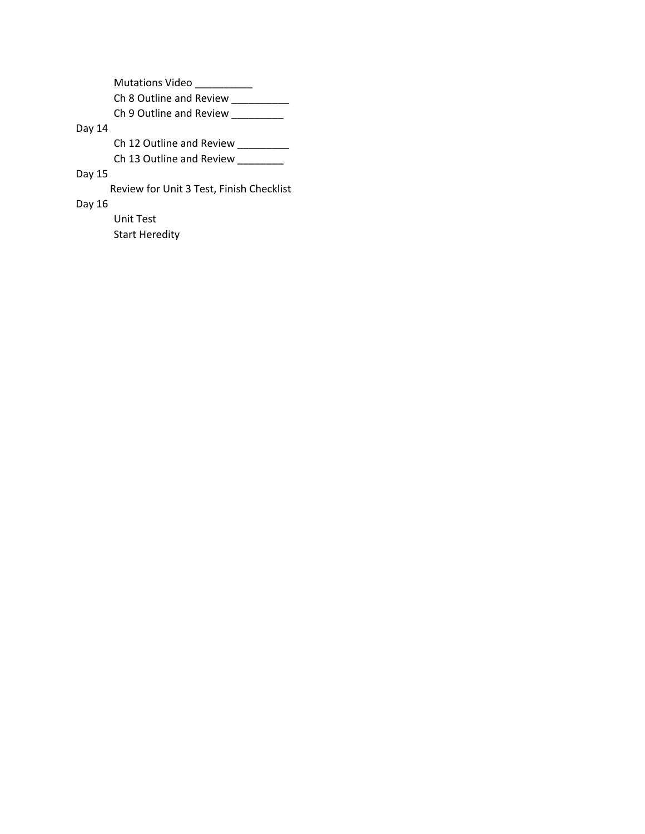Mutations Video \_\_\_\_\_\_\_\_\_\_ Ch 8 Outline and Review \_\_\_\_\_\_\_\_\_\_ Ch 9 Outline and Review \_\_\_\_\_\_\_\_\_

### Day 14

Ch 12 Outline and Review \_\_\_\_\_\_\_\_

Ch 13 Outline and Review \_\_\_\_\_\_\_\_

### Day 15

Review for Unit 3 Test, Finish Checklist

#### Day 16

Unit Test

Start Heredity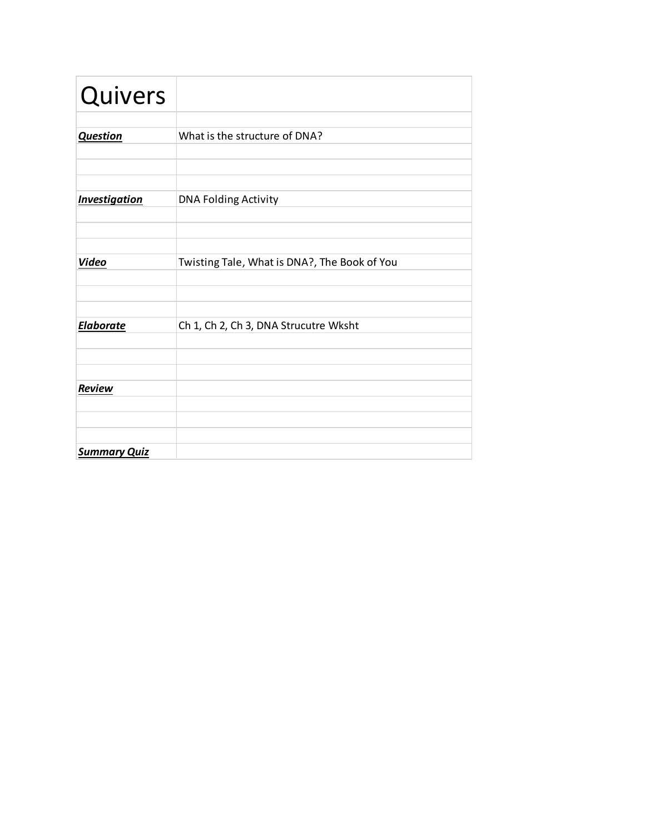| Quivers              |                                              |
|----------------------|----------------------------------------------|
|                      |                                              |
| <b>Question</b>      | What is the structure of DNA?                |
|                      |                                              |
|                      |                                              |
| <b>Investigation</b> | <b>DNA Folding Activity</b>                  |
|                      |                                              |
|                      |                                              |
| <b>Video</b>         | Twisting Tale, What is DNA?, The Book of You |
|                      |                                              |
|                      |                                              |
|                      |                                              |
| <b>Elaborate</b>     | Ch 1, Ch 2, Ch 3, DNA Strucutre Wksht        |
|                      |                                              |
|                      |                                              |
| Review               |                                              |
|                      |                                              |
|                      |                                              |
| <b>Summary Quiz</b>  |                                              |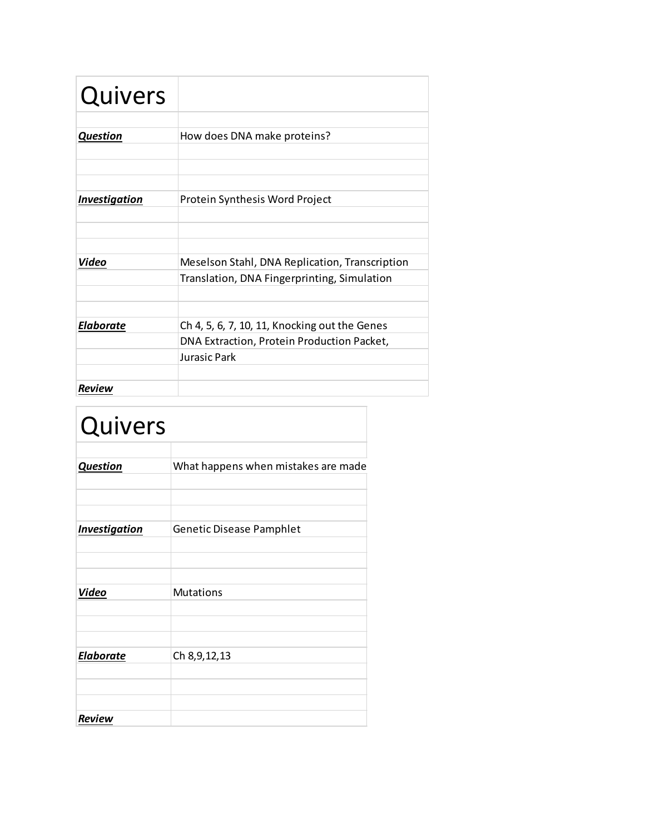| Quivers              |                                                |
|----------------------|------------------------------------------------|
|                      |                                                |
| <b>Question</b>      | How does DNA make proteins?                    |
|                      |                                                |
|                      |                                                |
|                      |                                                |
| <b>Investigation</b> | Protein Synthesis Word Project                 |
|                      |                                                |
|                      |                                                |
|                      |                                                |
| Video                | Meselson Stahl, DNA Replication, Transcription |
|                      | Translation, DNA Fingerprinting, Simulation    |
|                      |                                                |
|                      |                                                |
| <b>Elaborate</b>     | Ch 4, 5, 6, 7, 10, 11, Knocking out the Genes  |
|                      | DNA Extraction, Protein Production Packet,     |
|                      | Jurașic Park                                   |
|                      |                                                |
| Review               |                                                |

| Quivers              |                                     |
|----------------------|-------------------------------------|
| <b>Question</b>      | What happens when mistakes are made |
| <b>Investigation</b> | <b>Genetic Disease Pamphlet</b>     |
| Video                | <b>Mutations</b>                    |
| <b>Elaborate</b>     | Ch 8, 9, 12, 13                     |
| <b>Review</b>        |                                     |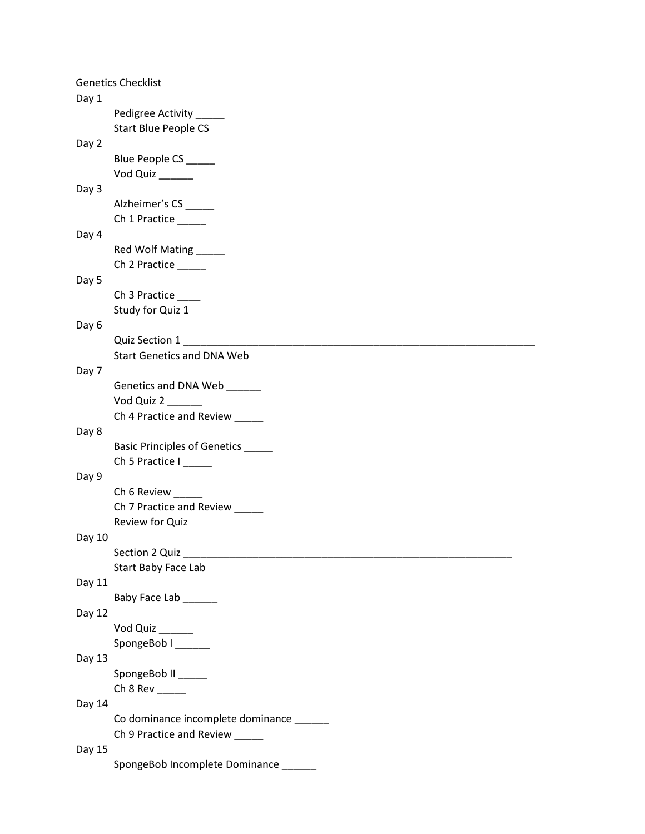|        | <b>Genetics Checklist</b>                |
|--------|------------------------------------------|
| Day 1  |                                          |
|        | Pedigree Activity                        |
|        | <b>Start Blue People CS</b>              |
| Day 2  |                                          |
|        | Blue People CS _____                     |
|        | Vod Quiz _____                           |
| Day 3  |                                          |
|        | Alzheimer's CS _____                     |
|        | Ch 1 Practice                            |
| Day 4  |                                          |
|        | Red Wolf Mating                          |
|        | Ch 2 Practice                            |
| Day 5  |                                          |
|        | Ch 3 Practice _____                      |
|        | Study for Quiz 1                         |
| Day 6  |                                          |
|        | Quiz Section 1                           |
|        | <b>Start Genetics and DNA Web</b>        |
| Day 7  |                                          |
|        | Genetics and DNA Web ______              |
|        | Vod Quiz 2                               |
|        | Ch 4 Practice and Review                 |
| Day 8  |                                          |
|        | Basic Principles of Genetics _____       |
|        | Ch 5 Practice I                          |
| Day 9  |                                          |
|        | Ch 6 Review _____                        |
|        | Ch 7 Practice and Review                 |
|        | Review for Quiz                          |
| Day 10 |                                          |
|        | Section 2 Quiz                           |
|        | Start Baby Face Lab                      |
| Day 11 |                                          |
|        | Baby Face Lab ______                     |
| Day 12 |                                          |
|        | Vod Quiz _____                           |
|        | SpongeBob I                              |
| Day 13 |                                          |
|        | SpongeBob II _____                       |
|        |                                          |
| Day 14 |                                          |
|        | Co dominance incomplete dominance ______ |
|        | Ch 9 Practice and Review _____           |
| Day 15 |                                          |
|        | SpongeBob Incomplete Dominance           |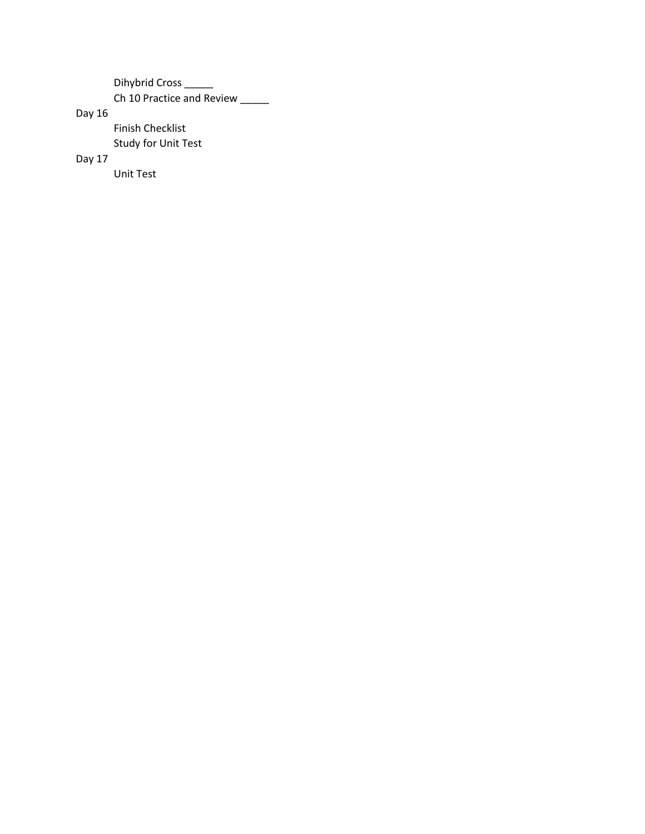Dihybrid Cross \_\_\_\_\_ Ch 10 Practice and Review \_\_\_\_\_

Day 16

Finish Checklist Study for Unit Test

Day 17

Unit Test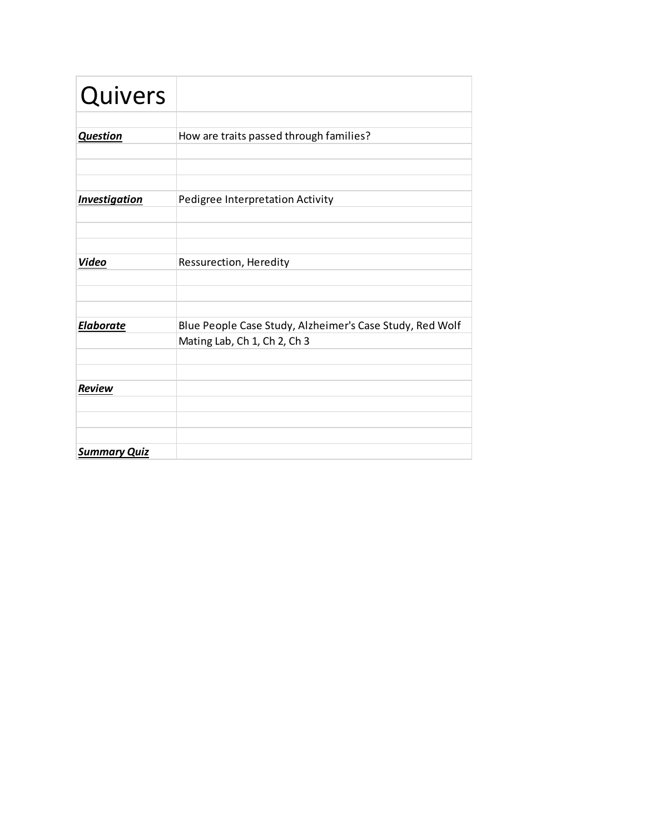| Quivers              |                                                          |
|----------------------|----------------------------------------------------------|
|                      |                                                          |
| <b>Question</b>      | How are traits passed through families?                  |
|                      |                                                          |
|                      |                                                          |
|                      |                                                          |
| <b>Investigation</b> | Pedigree Interpretation Activity                         |
|                      |                                                          |
|                      |                                                          |
|                      |                                                          |
| <b>Video</b>         | Ressurection, Heredity                                   |
|                      |                                                          |
|                      |                                                          |
|                      |                                                          |
| <b>Elaborate</b>     | Blue People Case Study, Alzheimer's Case Study, Red Wolf |
|                      | Mating Lab, Ch 1, Ch 2, Ch 3                             |
|                      |                                                          |
|                      |                                                          |
| <b>Review</b>        |                                                          |
|                      |                                                          |
|                      |                                                          |
|                      |                                                          |
| <b>Summary Quiz</b>  |                                                          |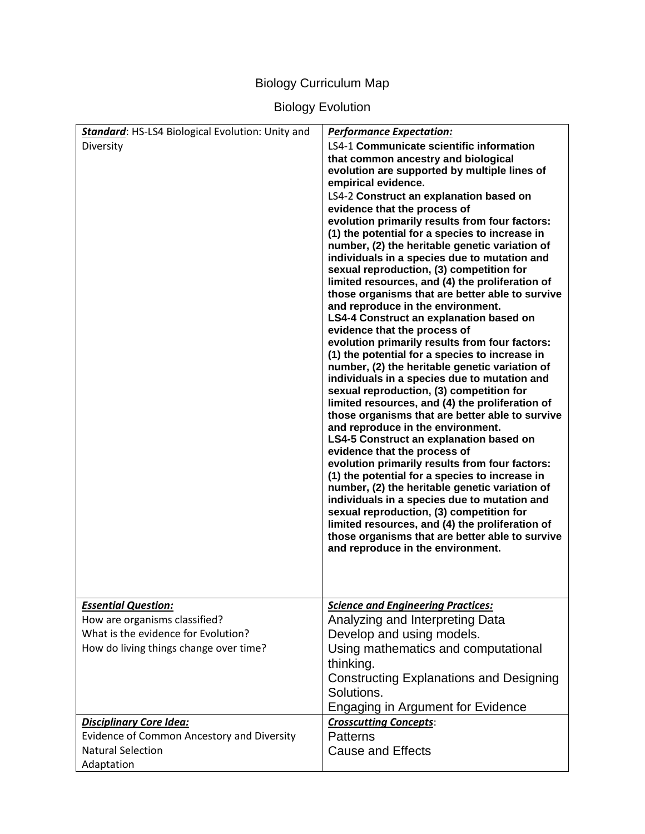### Biology Curriculum Map

# Biology Evolution

| Standard: HS-LS4 Biological Evolution: Unity and<br>Diversity                                                                                | <b>Performance Expectation:</b><br><b>LS4-1 Communicate scientific information</b><br>that common ancestry and biological<br>evolution are supported by multiple lines of<br>empirical evidence.<br>LS4-2 Construct an explanation based on<br>evidence that the process of<br>evolution primarily results from four factors:<br>(1) the potential for a species to increase in<br>number, (2) the heritable genetic variation of<br>individuals in a species due to mutation and<br>sexual reproduction, (3) competition for<br>limited resources, and (4) the proliferation of<br>those organisms that are better able to survive<br>and reproduce in the environment.<br>LS4-4 Construct an explanation based on<br>evidence that the process of<br>evolution primarily results from four factors:<br>(1) the potential for a species to increase in<br>number, (2) the heritable genetic variation of<br>individuals in a species due to mutation and<br>sexual reproduction, (3) competition for<br>limited resources, and (4) the proliferation of<br>those organisms that are better able to survive<br>and reproduce in the environment.<br>LS4-5 Construct an explanation based on<br>evidence that the process of<br>evolution primarily results from four factors:<br>(1) the potential for a species to increase in<br>number, (2) the heritable genetic variation of<br>individuals in a species due to mutation and<br>sexual reproduction, (3) competition for<br>limited resources, and (4) the proliferation of<br>those organisms that are better able to survive<br>and reproduce in the environment. |
|----------------------------------------------------------------------------------------------------------------------------------------------|--------------------------------------------------------------------------------------------------------------------------------------------------------------------------------------------------------------------------------------------------------------------------------------------------------------------------------------------------------------------------------------------------------------------------------------------------------------------------------------------------------------------------------------------------------------------------------------------------------------------------------------------------------------------------------------------------------------------------------------------------------------------------------------------------------------------------------------------------------------------------------------------------------------------------------------------------------------------------------------------------------------------------------------------------------------------------------------------------------------------------------------------------------------------------------------------------------------------------------------------------------------------------------------------------------------------------------------------------------------------------------------------------------------------------------------------------------------------------------------------------------------------------------------------------------------------------------------------------------------------------|
| <b>Essential Question:</b><br>How are organisms classified?<br>What is the evidence for Evolution?<br>How do living things change over time? | <b>Science and Engineering Practices:</b><br>Analyzing and Interpreting Data<br>Develop and using models.<br>Using mathematics and computational<br>thinking.<br><b>Constructing Explanations and Designing</b><br>Solutions.<br><b>Engaging in Argument for Evidence</b>                                                                                                                                                                                                                                                                                                                                                                                                                                                                                                                                                                                                                                                                                                                                                                                                                                                                                                                                                                                                                                                                                                                                                                                                                                                                                                                                                |
| <b>Disciplinary Core Idea:</b><br>Evidence of Common Ancestory and Diversity<br><b>Natural Selection</b><br>Adaptation                       | <b>Crosscutting Concepts:</b><br><b>Patterns</b><br><b>Cause and Effects</b>                                                                                                                                                                                                                                                                                                                                                                                                                                                                                                                                                                                                                                                                                                                                                                                                                                                                                                                                                                                                                                                                                                                                                                                                                                                                                                                                                                                                                                                                                                                                             |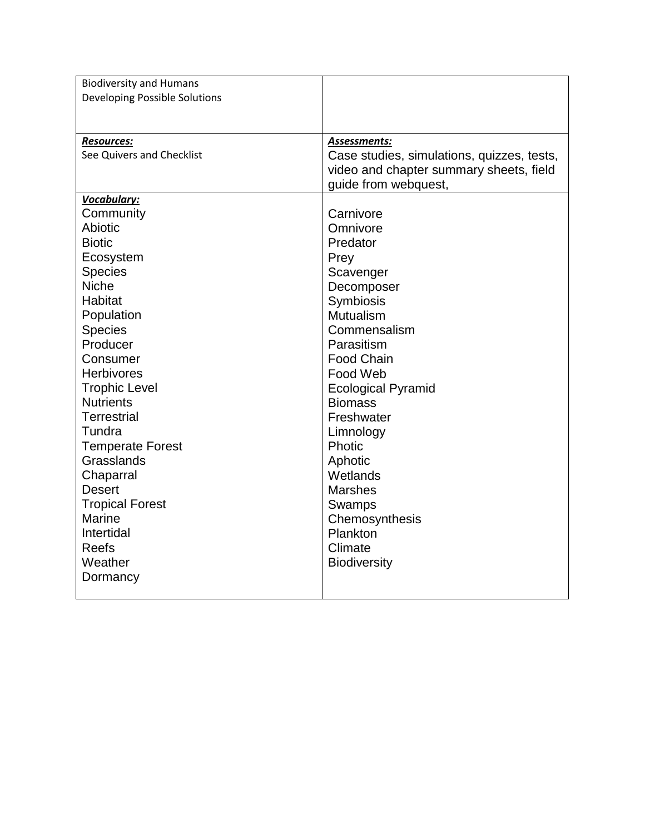| <b>Biodiversity and Humans</b>       |                                            |
|--------------------------------------|--------------------------------------------|
| <b>Developing Possible Solutions</b> |                                            |
|                                      |                                            |
|                                      |                                            |
| <b>Resources:</b>                    | Assessments:                               |
| See Quivers and Checklist            | Case studies, simulations, quizzes, tests, |
|                                      | video and chapter summary sheets, field    |
|                                      | guide from webquest,                       |
| Vocabulary:                          |                                            |
| Community                            | Carnivore                                  |
| Abiotic                              | Omnivore                                   |
| <b>Biotic</b>                        | Predator                                   |
| Ecosystem                            | Prey                                       |
| <b>Species</b><br><b>Niche</b>       | Scavenger                                  |
| Habitat                              | Decomposer                                 |
| Population                           | Symbiosis<br>Mutualism                     |
| <b>Species</b>                       | Commensalism                               |
| Producer                             | Parasitism                                 |
| Consumer                             | <b>Food Chain</b>                          |
| <b>Herbivores</b>                    | Food Web                                   |
| <b>Trophic Level</b>                 | <b>Ecological Pyramid</b>                  |
| <b>Nutrients</b>                     | <b>Biomass</b>                             |
| <b>Terrestrial</b>                   | Freshwater                                 |
| Tundra                               | Limnology                                  |
| <b>Temperate Forest</b>              | Photic                                     |
| Grasslands                           | Aphotic                                    |
| Chaparral                            | Wetlands                                   |
| <b>Desert</b>                        | <b>Marshes</b>                             |
| <b>Tropical Forest</b>               | Swamps                                     |
| Marine                               | Chemosynthesis                             |
| Intertidal                           | Plankton                                   |
| <b>Reefs</b>                         | Climate                                    |
| Weather                              | <b>Biodiversity</b>                        |
| Dormancy                             |                                            |
|                                      |                                            |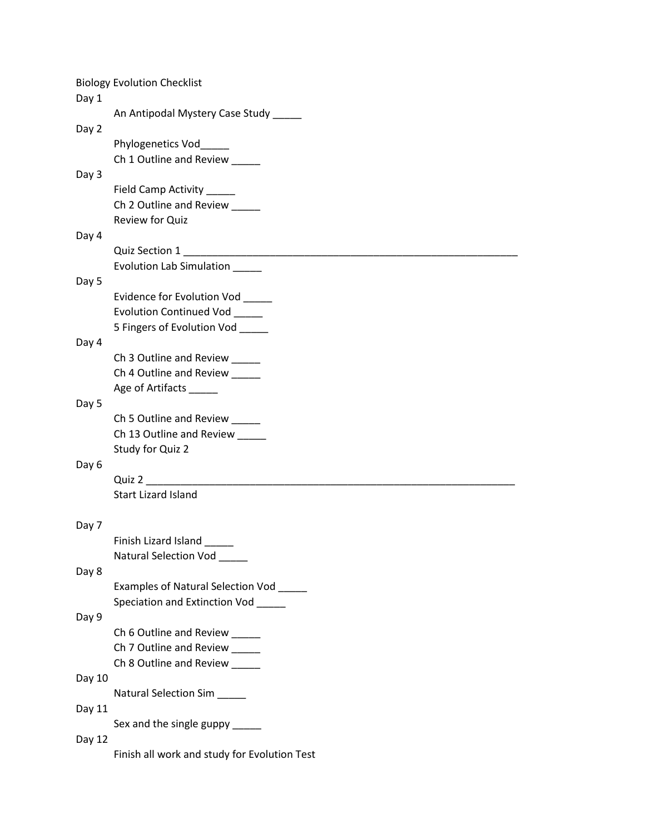|        | <b>Biology Evolution Checklist</b>           |
|--------|----------------------------------------------|
| Day 1  |                                              |
|        | An Antipodal Mystery Case Study              |
| Day 2  |                                              |
|        | Phylogenetics Vod<br>Ch 1 Outline and Review |
| Day 3  |                                              |
|        | Field Camp Activity _____                    |
|        | Ch 2 Outline and Review                      |
|        | Review for Quiz                              |
| Day 4  |                                              |
|        |                                              |
|        | Evolution Lab Simulation _____               |
| Day 5  |                                              |
|        | Evidence for Evolution Vod                   |
|        | Evolution Continued Vod                      |
|        | 5 Fingers of Evolution Vod _____             |
| Day 4  | Ch 3 Outline and Review _____                |
|        | Ch 4 Outline and Review _____                |
|        | Age of Artifacts ______                      |
| Day 5  |                                              |
|        | Ch 5 Outline and Review                      |
|        | Ch 13 Outline and Review _____               |
|        | Study for Quiz 2                             |
| Day 6  |                                              |
|        | Quiz 2                                       |
|        | <b>Start Lizard Island</b>                   |
| Day 7  |                                              |
|        | Finish Lizard Island                         |
|        | Natural Selection Vod ____                   |
| Day 8  |                                              |
|        | Examples of Natural Selection Vod            |
|        | Speciation and Extinction Vod _____          |
| Day 9  |                                              |
|        | Ch 6 Outline and Review _____                |
|        | Ch 7 Outline and Review                      |
|        | Ch 8 Outline and Review                      |
| Day 10 | Natural Selection Sim                        |
| Day 11 |                                              |
|        | Sex and the single guppy _____               |
| Day 12 |                                              |
|        | Finish all work and study for Evolution Test |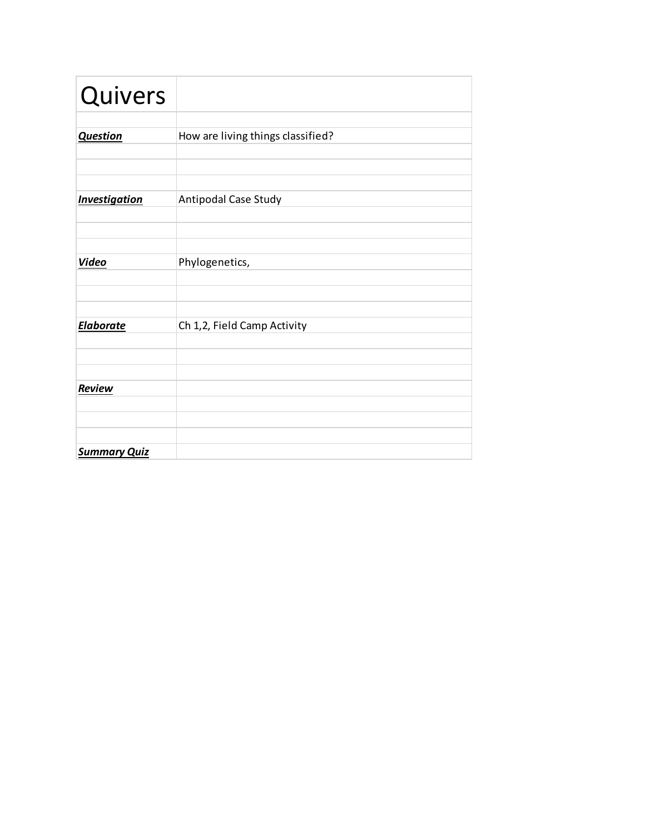| Quivers              |                                   |
|----------------------|-----------------------------------|
| <b>Question</b>      | How are living things classified? |
|                      |                                   |
| <b>Investigation</b> | Antipodal Case Study              |
|                      |                                   |
| <b>Video</b>         | Phylogenetics,                    |
|                      |                                   |
| <b>Elaborate</b>     | Ch 1,2, Field Camp Activity       |
|                      |                                   |
| Review               |                                   |
|                      |                                   |
| <b>Summary Quiz</b>  |                                   |